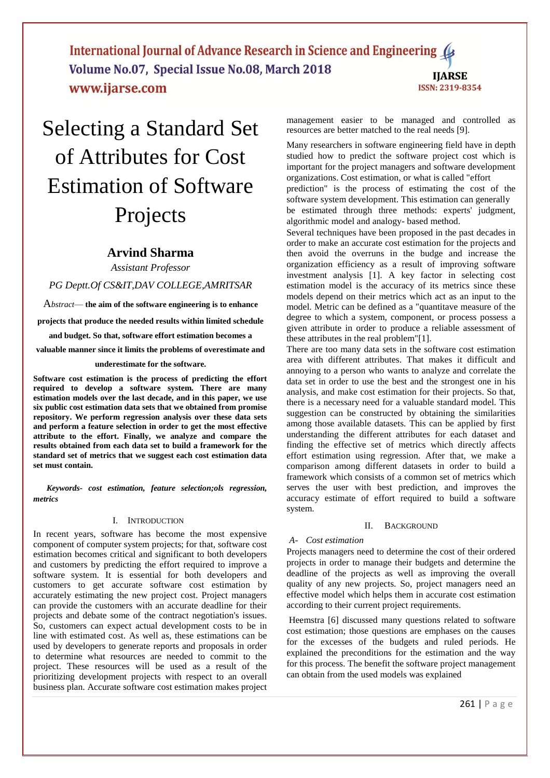International Journal of Advance Research in Science and Engineering Volume No.07, Special Issue No.08, March 2018 **IIARSE** www.ijarse.com ISSN: 2319-8354

# Selecting a Standard Set of Attributes for Cost Estimation of Software Projects

# **Arvind Sharma**

*Assistant Professor*

*PG Deptt.Of CS&IT,DAV COLLEGE,AMRITSAR*

A*bstract*— **the aim of the software engineering is to enhance projects that produce the needed results within limited schedule and budget. So that, software effort estimation becomes a valuable manner since it limits the problems of overestimate and** 

#### **underestimate for the software.**

**Software cost estimation is the process of predicting the effort required to develop a software system. There are many estimation models over the last decade, and in this paper, we use six public cost estimation data sets that we obtained from promise repository. We perform regression analysis over these data sets and perform a feature selection in order to get the most effective attribute to the effort. Finally, we analyze and compare the results obtained from each data set to build a framework for the standard set of metrics that we suggest each cost estimation data set must contain.**

*Keywords- cost estimation, feature selection;ols regression, metrics*

# I. INTRODUCTION

In recent years, software has become the most expensive component of computer system projects; for that, software cost estimation becomes critical and significant to both developers and customers by predicting the effort required to improve a software system. It is essential for both developers and customers to get accurate software cost estimation by accurately estimating the new project cost. Project managers can provide the customers with an accurate deadline for their projects and debate some of the contract negotiation's issues. So, customers can expect actual development costs to be in line with estimated cost. As well as, these estimations can be used by developers to generate reports and proposals in order to determine what resources are needed to commit to the project. These resources will be used as a result of the prioritizing development projects with respect to an overall business plan. Accurate software cost estimation makes project management easier to be managed and controlled as resources are better matched to the real needs [9].

Many researchers in software engineering field have in depth studied how to predict the software project cost which is important for the project managers and software development organizations. Cost estimation, or what is called "effort

prediction" is the process of estimating the cost of the software system development. This estimation can generally be estimated through three methods: experts' judgment, algorithmic model and analogy- based method.

Several techniques have been proposed in the past decades in order to make an accurate cost estimation for the projects and then avoid the overruns in the budge and increase the organization efficiency as a result of improving software investment analysis [1]. A key factor in selecting cost estimation model is the accuracy of its metrics since these models depend on their metrics which act as an input to the model. Metric can be defined as a "quantitave measure of the degree to which a system, component, or process possess a given attribute in order to produce a reliable assessment of these attributes in the real problem"[1].

There are too many data sets in the software cost estimation area with different attributes. That makes it difficult and annoying to a person who wants to analyze and correlate the data set in order to use the best and the strongest one in his analysis, and make cost estimation for their projects. So that, there is a necessary need for a valuable standard model. This suggestion can be constructed by obtaining the similarities among those available datasets. This can be applied by first understanding the different attributes for each dataset and finding the effective set of metrics which directly affects effort estimation using regression. After that, we make a comparison among different datasets in order to build a framework which consists of a common set of metrics which serves the user with best prediction, and improves the accuracy estimate of effort required to build a software system.

#### II. BACKGROUND

#### *A- Cost estimation*

Projects managers need to determine the cost of their ordered projects in order to manage their budgets and determine the deadline of the projects as well as improving the overall quality of any new projects. So, project managers need an effective model which helps them in accurate cost estimation according to their current project requirements.

Heemstra [6] discussed many questions related to software cost estimation; those questions are emphases on the causes for the excesses of the budgets and ruled periods. He explained the preconditions for the estimation and the way for this process. The benefit the software project management can obtain from the used models was explained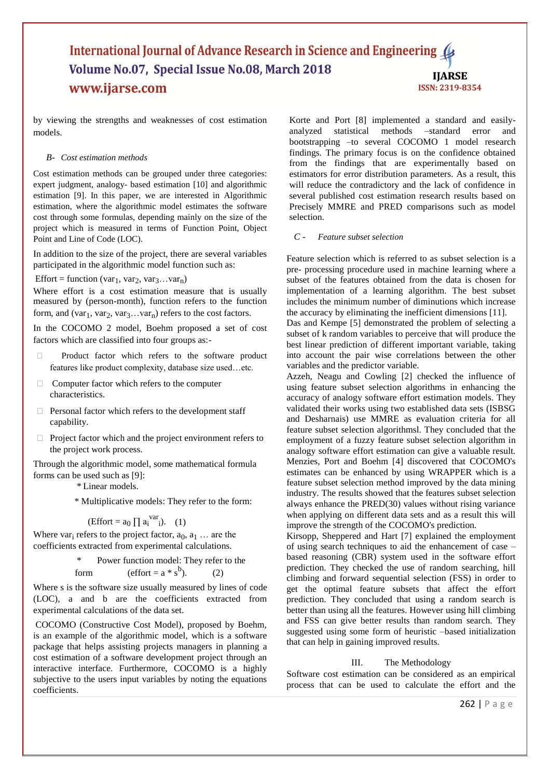# International Journal of Advance Research in Science and Engineering ( Volume No.07, Special Issue No.08, March 2018 **IJARSE** www.ijarse.com ISSN: 2319-8354

by viewing the strengths and weaknesses of cost estimation models.

# *B- Cost estimation methods*

Cost estimation methods can be grouped under three categories: expert judgment, analogy- based estimation [10] and algorithmic estimation [9]. In this paper, we are interested in Algorithmic estimation, where the algorithmic model estimates the software cost through some formulas, depending mainly on the size of the project which is measured in terms of Function Point, Object Point and Line of Code (LOC).

In addition to the size of the project, there are several variables participated in the algorithmic model function such as:

 $Effort = function (var<sub>1</sub>, var<sub>2</sub>, var<sub>3</sub>...var<sub>n</sub>)$ 

Where effort is a cost estimation measure that is usually measured by (person-month), function refers to the function form, and (var<sub>1</sub>, var<sub>2</sub>, var<sub>3</sub>...var<sub>n</sub>) refers to the cost factors.

In the COCOMO 2 model, Boehm proposed a set of cost factors which are classified into four groups as:-

- Product factor which refers to the software product features like product complexity, database size used…etc.
- $\Box$  Computer factor which refers to the computer characteristics.
- $\Box$  Personal factor which refers to the development staff capability.
- $\Box$  Project factor which and the project environment refers to the project work process.

Through the algorithmic model, some mathematical formula forms can be used such as [9]:

\* Linear models.

\* Multiplicative models: They refer to the form:

$$
(Effort = a_0 \prod a_i^{var} i).
$$
 (1)

Where var<sub>i</sub> refers to the project factor,  $a_0, a_1 \dots$  are the coefficients extracted from experimental calculations.

\* Power function model: They refer to the

 $(2)$ 

form (effort = 
$$
a * s^b
$$
).

Where s is the software size usually measured by lines of code (LOC), a and b are the coefficients extracted from experimental calculations of the data set.

COCOMO (Constructive Cost Model), proposed by Boehm, is an example of the algorithmic model, which is a software package that helps assisting projects managers in planning a cost estimation of a software development project through an interactive interface. Furthermore, COCOMO is a highly subjective to the users input variables by noting the equations coefficients.

Korte and Port [8] implemented a standard and easilyanalyzed statistical methods –standard error and bootstrapping –to several COCOMO 1 model research findings. The primary focus is on the confidence obtained from the findings that are experimentally based on estimators for error distribution parameters. As a result, this will reduce the contradictory and the lack of confidence in several published cost estimation research results based on Precisely MMRE and PRED comparisons such as model selection.

# *C - Feature subset selection*

Feature selection which is referred to as subset selection is a pre- processing procedure used in machine learning where a subset of the features obtained from the data is chosen for implementation of a learning algorithm. The best subset includes the minimum number of diminutions which increase the accuracy by eliminating the inefficient dimensions [11].

Das and Kempe [5] demonstrated the problem of selecting a subset of k random variables to perceive that will produce the best linear prediction of different important variable, taking into account the pair wise correlations between the other variables and the predictor variable.

Azzeh, Neagu and Cowling [2] checked the influence of using feature subset selection algorithms in enhancing the accuracy of analogy software effort estimation models. They validated their works using two established data sets (ISBSG and Desharnais) use MMRE as evaluation criteria for all feature subset selection algorithmsl. They concluded that the employment of a fuzzy feature subset selection algorithm in analogy software effort estimation can give a valuable result. Menzies, Port and Boehm [4] discovered that COCOMO's estimates can be enhanced by using WRAPPER which is a feature subset selection method improved by the data mining industry. The results showed that the features subset selection always enhance the PRED(30) values without rising variance when applying on different data sets and as a result this will improve the strength of the COCOMO's prediction.

Kirsopp, Sheppered and Hart [7] explained the employment of using search techniques to aid the enhancement of case – based reasoning (CBR) system used in the software effort prediction. They checked the use of random searching, hill climbing and forward sequential selection (FSS) in order to get the optimal feature subsets that affect the effort prediction. They concluded that using a random search is better than using all the features. However using hill climbing and FSS can give better results than random search. They suggested using some form of heuristic –based initialization that can help in gaining improved results.

# III. The Methodology

Software cost estimation can be considered as an empirical process that can be used to calculate the effort and the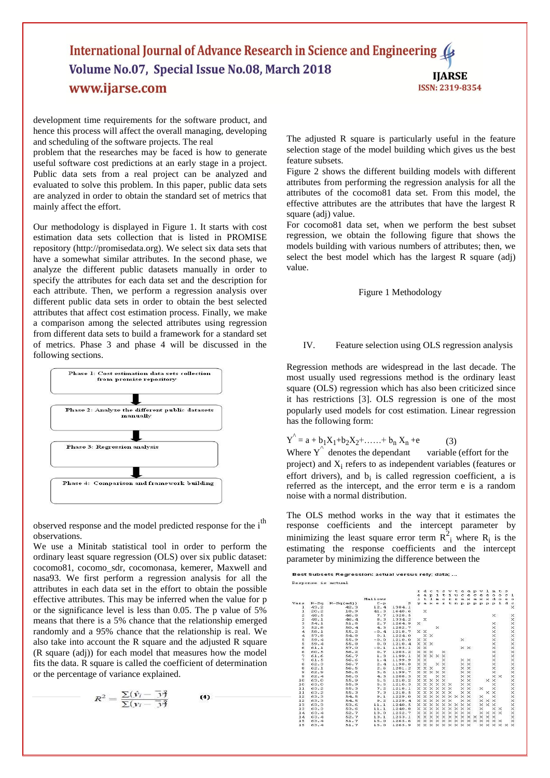# International Journal of Advance Research in Science and Engineering ( Volume No.07, Special Issue No.08, March 2018 **IJARSE** www.ijarse.com ISSN: 2319-8354

development time requirements for the software product, and hence this process will affect the overall managing, developing and scheduling of the software projects. The real

problem that the researches may be faced is how to generate useful software cost predictions at an early stage in a project. Public data sets from a real project can be analyzed and evaluated to solve this problem. In this paper, public data sets are analyzed in order to obtain the standard set of metrics that mainly affect the effort.

Our methodology is displayed in Figure 1. It starts with cost estimation data sets collection that is listed in PROMISE repository (http://promisedata.org). We select six data sets that have a somewhat similar attributes. In the second phase, we analyze the different public datasets manually in order to specify the attributes for each data set and the description for each attribute. Then, we perform a regression analysis over different public data sets in order to obtain the best selected attributes that affect cost estimation process. Finally, we make a comparison among the selected attributes using regression from different data sets to build a framework for a standard set of metrics. Phase 3 and phase 4 will be discussed in the following sections.



observed response and the model predicted response for the i<sup>th</sup> observations.

We use a Minitab statistical tool in order to perform the ordinary least square regression (OLS) over six public dataset: cocomo81, cocomo\_sdr, cocomonasa, kemerer, Maxwell and nasa93. We first perform a regression analysis for all the attributes in each data set in the effort to obtain the possible effective attributes. This may be inferred when the value for p or the significance level is less than 0.05. The p value of 5% means that there is a 5% chance that the relationship emerged randomly and a 95% chance that the relationship is real. We also take into account the R square and the adjusted R square (R square (adj)) for each model that measures how the model fits the data. R square is called the coefficient of determination or the percentage of variance explained.

$$
R^2 = \frac{\sum (\hat{y}_i - \overrightarrow{y})}{\sum (y_i - \overrightarrow{y})}
$$

 $(4)$ 

The adjusted R square is particularly useful in the feature selection stage of the model building which gives us the best feature subsets.

Figure 2 shows the different building models with different attributes from performing the regression analysis for all the attributes of the cocomo81 data set. From this model, the effective attributes are the attributes that have the largest R square (adj) value.

For cocomo81 data set, when we perform the best subset regression, we obtain the following figure that shows the models building with various numbers of attributes; then, we select the best model which has the largest R square (adj) value.

# Figure 1 Methodology

#### IV. Feature selection using OLS regression analysis

Regression methods are widespread in the last decade. The most usually used regressions method is the ordinary least square (OLS) regression which has also been criticized since it has restrictions [3]. OLS regression is one of the most popularly used models for cost estimation. Linear regression has the following form:

$$
Y^{\hat{}} = a + b_1 X_1 + b_2 X_2 + \dots + b_n X_n + e \tag{3}
$$

**Dest Cubents Degreesian: estual versus rebu data:** 

Where  $\overline{Y}^{\wedge}$  denotes the dependant variable (effort for the project) and  $X_i$  refers to as independent variables (features or effort drivers), and  $b_i$  is called regression coefficient, a is referred as the intercept, and the error term e is a random noise with a normal distribution.

The OLS method works in the way that it estimates the response coefficients and the intercept parameter by minimizing the least square error term  $R_1^2$  where  $R_1$  is the estimating the response coefficients and the intercept parameter by minimizing the difference between the

|                         |        |             |         |        | r.       |                   |                            | dctsvtaapvlmts                                                   |          |  |          |                   |          |              |                            |     |                                              |                 |
|-------------------------|--------|-------------|---------|--------|----------|-------------------|----------------------------|------------------------------------------------------------------|----------|--|----------|-------------------|----------|--------------|----------------------------|-----|----------------------------------------------|-----------------|
|                         |        |             |         |        |          |                   |                            |                                                                  |          |  |          |                   |          |              |                            |     | e a pitiu ce ce e o o cl                     |                 |
|                         |        |             | Mallows |        |          |                   |                            | l t l m o r r a x a x x d o e                                    |          |  |          |                   |          |              |                            |     |                                              | $\sim$ $\Omega$ |
| Vars                    | $R-Sq$ | $R-Sq(ad1)$ | $C - p$ | s      |          |                   |                            |                                                                  |          |  |          |                   |          |              |                            |     | y a x e r t n p p p p p p 1 d c              |                 |
| $\mathbf{I}$            | 43.2   | 42.3        | 12.4    | 1384.1 |          |                   |                            |                                                                  |          |  |          |                   |          |              |                            |     |                                              | $\times$        |
| ı                       | 20.2   | 18.9        | 41.3    | 1640.6 |          | $\times$          |                            |                                                                  |          |  |          |                   |          |              |                            |     |                                              |                 |
| $\overline{\mathbf{z}}$ | 48.5   | 46.8        | 7.7     | 1328.5 |          |                   |                            |                                                                  |          |  |          |                   |          |              | $\times$                   |     |                                              | ×               |
| $\overline{\mathbf{z}}$ | 48.1   | 46.4        | 8.3     | 1334.2 |          | $\times$          |                            |                                                                  |          |  |          |                   |          |              |                            |     |                                              | $\times$        |
| з                       | 54.1   | 51.8        | 2.7     | 1264.9 | $\times$ |                   |                            |                                                                  |          |  |          |                   |          |              | $\times$                   |     |                                              | $\times$        |
| э                       | 52.8   | 50.4        | 4.3     | 1282.7 |          |                   |                            | $\times$                                                         |          |  |          |                   |          |              | $\times$                   |     |                                              | ×               |
| $\overline{\mathbf{a}}$ | 58.1   | 55.2        | $-0.4$  | 1218.7 |          | $\times$ $\times$ |                            |                                                                  |          |  |          |                   |          |              | $\times$                   |     |                                              | $\times$        |
| $\mathbf{4}$            | 57.8   | 54.8        | 0.1     | 1224.0 |          |                   | x x                        |                                                                  |          |  |          |                   |          |              | $\times$                   |     |                                              | $\times$        |
| 5                       | 59.4   | 55.9        | $-0.0$  | 1210.0 |          | x x               |                            |                                                                  |          |  | $\times$ |                   |          |              | $\times$                   |     |                                              | $\times$        |
| 5                       | 59.4   | 55.8        | 0.0     | 1210.4 |          |                   | $\times$ $\times$ $\times$ |                                                                  |          |  |          |                   |          |              | $\times$                   |     |                                              | $\times$        |
| 6                       | 61.1   | 57.0        | $-0.1$  | 1195.1 |          | x x               |                            |                                                                  |          |  |          | $\times$ $\times$ |          |              | $\times$                   |     |                                              |                 |
| 6.                      | 60.5   | 56.2        | 0.7     | 1205.2 |          |                   | <b>XXX</b>                 |                                                                  | ×        |  |          |                   |          |              | $\times$                   |     |                                              | $\times$        |
| 7                       | 61.6   | 56.7        | 1.3     | 1199.1 |          |                   |                            | <b>x x x x x</b>                                                 |          |  |          |                   |          |              | $\times$                   |     |                                              | $\times x$      |
| $\overline{7}$          | 61.5   | 56.6        | 1.4     | 1199.9 |          | $\times$ $\times$ |                            |                                                                  | $\times$ |  |          | $\times$ $\times$ |          |              | $\times$                   |     |                                              |                 |
| 8                       | 62.3   | 56.7        | 2.4     | 1198.8 |          | x x               |                            |                                                                  | X X      |  |          | X X               |          |              | $\times$                   |     |                                              | $\times$        |
| e.                      | 62.1   | 56.5        | 2.6     | 1201.2 |          | x x x             |                            |                                                                  | $\times$ |  |          | $\times$ $\times$ |          |              | $\times$                   |     |                                              | ×               |
| 9.                      | 62.9   | 56.6        | 3.6     | 1199.7 |          |                   |                            | $\times$ $\times$ $\times$ $\times$ $\times$                     |          |  |          | $\times$ $\times$ |          |              | $\times$                   |     |                                              | $\times$        |
| 9                       | 62.4   | 56.0        | 4.3     | 1208.3 |          | X X               |                            |                                                                  | x x      |  |          | X X               |          |              |                            | x x |                                              | $\times$        |
| 10                      | 63.0   | 55.9        | 5.5     | 1210.2 |          |                   |                            | <b>XXXXX</b>                                                     |          |  |          | X X               |          |              | x x                        |     |                                              | $\times$        |
| 10                      | 63.0   | 55.9        | 5.5     | 1210.3 |          |                   |                            | $\times$ $\times$ $\times$ $\times$ $\times$                     |          |  |          | x x               |          |              | $\times$                   |     |                                              | $\times x$      |
| 11                      | 63.2   | 55.3        | 7.2     | 1218.1 |          |                   |                            | $\times$ $\times$ $\times$ $\times$ $\times$                     |          |  |          | x x               | $\times$ |              | $\times$                   |     |                                              |                 |
| 11                      | 63.2   | 55.3        | 7.3     | 1218.5 |          |                   |                            | <b>XXXXXX</b>                                                    |          |  |          | x x               |          |              | x x                        |     |                                              | $\times$        |
| 12                      | 63.3   | 54.5        | 9.1     | 1229.0 |          |                   |                            | $\times \times \times \times \times \times \times \times \times$ |          |  |          |                   | $\times$ |              | $\times$                   |     |                                              | $\times x$      |
| 12                      | 63.3   | 54.5        | 9.2     | 1229.4 |          |                   |                            | $\times$ $\times$ $\times$ $\times$ $\times$                     |          |  |          | × ×               |          |              | $\times$ $\times$ $\times$ |     |                                              |                 |
| 13                      | 63.3   | 53.6        | 11.1    | 1240.5 |          |                   |                            | <b>x x x x x x x x x</b>                                         |          |  |          |                   |          | <b>x x x</b> |                            |     |                                              | $\times$        |
| 13                      | 63.3   | 53.6        | 11.1    | 1240.8 |          |                   |                            | <b>X X X X X X X X X</b>                                         |          |  |          |                   | $\times$ |              |                            | x x |                                              | $\times$        |
| 14                      | 63.4   | 52.7        | 13.0    | 1252.7 |          |                   |                            | $\times \times \times \times \times \times \times \times \times$ |          |  |          |                   |          |              | <b>x x x x</b>             |     |                                              | $\times$        |
| 14                      | 63.4   | 52.7        | 13.1    | 1253.1 |          |                   |                            | <b>x x x x x x x x x x x x x</b>                                 |          |  |          |                   |          |              |                            |     |                                              | $\times$        |
| 1.5                     | 63.4   | 51.7        | 15.0    | 1265.6 |          |                   |                            | <b>x x x x x x x x x x x x x x</b>                               |          |  |          |                   |          |              |                            |     |                                              | $\times$        |
| 1.5                     | 63.4   | 51.7        | 15.0    | 1265.9 |          |                   |                            | $\times \times \times \times \times \times \times \times \times$ |          |  |          |                   |          |              |                            |     | $\times$ $\times$ $\times$ $\times$ $\times$ |                 |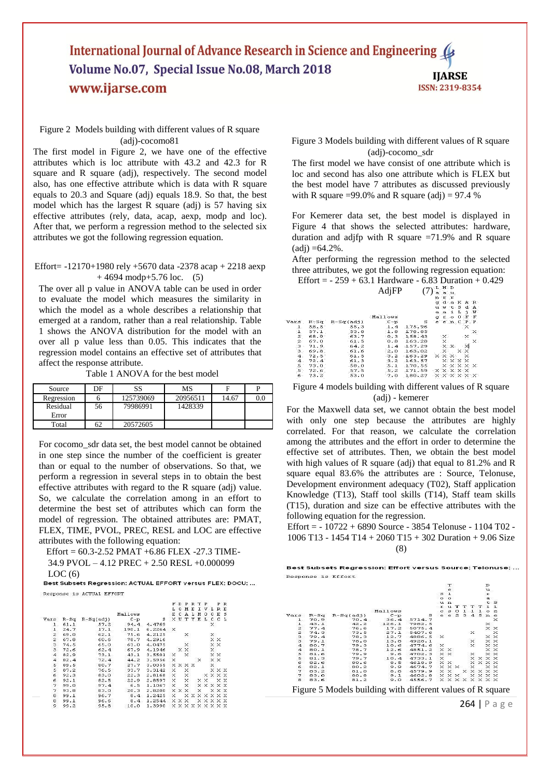# International Journal of Advance Research in Science and Engineering 4 Volume No.07, Special Issue No.08, March 2018 **IJARSE** www.ijarse.com ISSN: 2319-8354

# Figure 2 Models building with different values of R square (adj)-cocomo81

The first model in Figure 2, we have one of the effective attributes which is loc attribute with 43.2 and 42.3 for R square and R square (adj), respectively. The second model also, has one effective attribute which is data with R square equals to 20.3 and Square (adj) equals 18.9. So that, the best model which has the largest R square (adj) is 57 having six effective attributes (rely, data, acap, aexp, modp and loc). After that, we perform a regression method to the selected six attributes we got the following regression equation.

# Effort= -12170+1980 rely +5670 data -2378 acap + 2218 aexp  $+4694 \text{ modp+}5.76 \text{ loc.}$  (5)

The over all p value in ANOVA table can be used in order to evaluate the model which measures the similarity in which the model as a whole describes a relationship that emerged at a random, rather than a real relationship. Table 1 shows the ANOVA distribution for the model with an over all p value less than 0.05. This indicates that the regression model contains an effective set of attributes that affect the response attribute.

Table 1 ANOVA for the best model

| Source     | DF | SS        | MS       |       |     |
|------------|----|-----------|----------|-------|-----|
| Regression |    | 125739069 | 20956511 | 14.67 | 0.0 |
| Residual   | 56 | 79986991  | 1428339  |       |     |
| Error      |    |           |          |       |     |
| Total      | 62 | 20572605  |          |       |     |

For cocomo\_sdr data set, the best model cannot be obtained in one step since the number of the coefficient is greater than or equal to the number of observations. So that, we perform a regression in several steps in to obtain the best effective attributes with regard to the R square (adj) value. So, we calculate the correlation among in an effort to determine the best set of attributes which can form the model of regression. The obtained attributes are: PMAT, FLEX, TIME, PVOL, PREC, RESL and LOC are effective attributes with the following equation:

Effort = 60.3-2.52 PMAT +6.86 FLEX -27.3 TIME-34.9 PVOL – 4.12 PREC + 2.50 RESL +0.000099

 $\rm{LOC}\left(6\right)$ Best Suppression: ACTUAL EFFORT versus FLEX; DOCU; ...

Response is ACTUAL EFFORT

|                         |        |             |         |        |          | D   | $\mathbf{P}$                    | R T |               | P     |          | P           | $\mathbb{R}$ |
|-------------------------|--------|-------------|---------|--------|----------|-----|---------------------------------|-----|---------------|-------|----------|-------------|--------------|
|                         |        |             |         |        |          | o   | и                               | Е   |               | I V L |          |             | R E          |
|                         |        |             | Mallows |        | E.       | c   | A                               | L   | м             | ο     | $\Omega$ | E           | $\mathbf{s}$ |
| Vars                    | $R-Sq$ | $R-Sq(ad1)$ | $C-p$   | s      |          | ΧU  | т                               | Y   | E             | L     | с        | с           | L            |
| ı                       | 61.1   | 57.2        | 94.4    | 4.4769 |          |     |                                 |     |               |       | x        |             |              |
| ı                       | 24.7   | 17.1        | 190.1   | 6.2264 | $\times$ |     |                                 |     |               |       |          |             |              |
| $\overline{\mathbf{z}}$ | 69.0   | 62.1        | 75.6    | 4.2125 |          |     | ×                               |     |               |       | ×        |             |              |
| 2                       | 67.8   | 60.6        | 78.7    | 4.2916 |          |     |                                 |     |               |       |          | хx          |              |
| 3                       | 74.5   | 65.0        | 63.0    | 4.0475 |          |     | ×                               |     |               |       |          | x x         |              |
| 3                       | 72.6   | 62.4        | 67.9    | 4.1946 |          | ×.  | ×                               |     |               |       | x        |             |              |
| $\overline{4}$          | 82.9   | 73.1        | 43.1    | 3.5501 | x        |     | $\times$                        |     |               |       |          | x x         |              |
| 4                       | 82.4   | 72.4        | 44.2    | 3.5956 | ×        |     |                                 |     | ×             |       |          | x x         |              |
| 5                       | 89.5   | 80.7        | 27.7    | 3.0055 |          |     | <b>XXXX</b>                     |     |               |       | ×        |             |              |
| 5                       | 87.2   | 76.5        | 33.7    | 3.3142 | x        |     | ×                               |     |               |       |          | $X$ $X$ $X$ |              |
| 6                       | 92.3   | 83.0        | 22.3    | 2.8168 | x        |     | ×                               |     |               |       |          | <b>XXXX</b> |              |
| 6                       | 92.1   | 82.5        | 22.9    | 2.8597 | x        |     | ×                               |     |               | X X   |          |             | хx           |
| 7                       | 99.0   | 97.4        | 6.5     | 1.1067 | x        |     | $\times$                        |     |               |       |          | XXXXX       |              |
| 7                       | 93.8   | 83.0        | 20.3    | 2.8200 |          | X X | ×                               |     | $\times$      |       |          | x x x       |              |
| 8                       | 99.1   | 96.7        | 8.4     | 1.2425 | x        |     | x                               |     | <b>XXXXXX</b> |       |          |             |              |
| 8                       | 99.1   | 96.6        | 8.4     | 1.2544 |          | X X | x                               |     |               |       |          | XXXXX       |              |
| э                       | 99.2   | 95.8        | 10.0    | 1.3990 |          |     | $X$ $X$ $X$ $X$ $X$ $X$ $X$ $X$ |     |               |       |          |             |              |

Figure 3 Models building with different values of R square (adj)-cocomo\_sdr

The first model we have consist of one attribute which is loc and second has also one attribute which is FLEX but the best model have 7 attributes as discussed previously with R square =99.0% and R square (adj) = 97.4 %

For Kemerer data set, the best model is displayed in Figure 4 that shows the selected attributes: hardware, duration and adjfp with R square  $=71.9\%$  and R square  $\text{(adj)} = 64.2\%$ .

After performing the regression method to the selected three attributes, we got the following regression equation:

Effort =  $-259 + 63.1$  Hardware  $-6.83$  Duration  $+0.429$ 

|              |      |             | AdjFP   |        | ш.<br>a | ∍n.⊾                                | a u               |   |                                     |                                              |
|--------------|------|-------------|---------|--------|---------|-------------------------------------|-------------------|---|-------------------------------------|----------------------------------------------|
|              |      |             |         |        |         |                                     |                   |   |                                     |                                              |
|              |      |             |         |        | n.      | r r                                 |                   |   |                                     |                                              |
|              |      |             |         |        | q       |                                     |                   |   | da KAR                              |                                              |
|              |      |             |         |        | u       |                                     |                   |   | w t S d A                           |                                              |
|              |      |             |         |        | a       | a                                   | i.                | L | п.                                  | . W                                          |
|              |      |             | Mallows |        | q       | r                                   | $\circ$           | ۰ | F                                   | F                                            |
| Vars         | R-Sq | $R-Sq(adj)$ | $C-p$   | s      | e       |                                     | $e$ n             | c | P                                   | $\mathbf{P}$                                 |
| ı            | 58.5 | 55.3        | 1.4     | 175.96 |         |                                     |                   |   | ×                                   |                                              |
| ı            | 57.1 | 53.8        | 1.8     | 178.85 |         |                                     |                   |   |                                     | ×                                            |
| $\mathbf{z}$ | 68.9 | 63.7        | 0.3     | 158.43 |         | ×.                                  |                   |   | ×                                   |                                              |
| $\mathbf{z}$ | 67.0 | 61.5        | 0.8     | 163.28 |         | ×                                   |                   |   |                                     | ×                                            |
| -3           | 71.9 | 64.2        | 1:4     | 157.29 |         |                                     | $\times$ $\times$ |   | ×                                   |                                              |
| з.           | 69.8 | 61.6        | 2.0     | 163.02 |         | ×                                   |                   |   | хx                                  |                                              |
| 4            | 72.5 | 61.5        | 3.2     | 163.29 |         | x x x                               |                   |   | ×                                   |                                              |
| 4            | 72.4 | 61.3        | 3.2     | 163.57 |         |                                     | <b>XXXX</b>       |   |                                     |                                              |
| 5            | 73.0 | 58.0        | 5.1     | 170.55 |         |                                     |                   |   | $\times$ $\times$ $\times$ $\times$ |                                              |
| 5            | 72.6 | 57.5        | 5.2     | 171.59 |         | $\times$ $\times$ $\times$ $\times$ |                   |   |                                     |                                              |
| 6            | 73.2 | 53.0        | 7.0     | 180.27 |         |                                     |                   |   |                                     | $\times$ $\times$ $\times$ $\times$ $\times$ |

# Figure 4 models building with different values of R square (adj) - kemerer

For the Maxwell data set, we cannot obtain the best model with only one step because the attributes are highly correlated. For that reason, we calculate the correlation among the attributes and the effort in order to determine the effective set of attributes. Then, we obtain the best model with high values of R square (adj) that equal to 81.2% and R square equal 83.6% the attributes are : Source, Telonuse, Development environment adequacy (T02), Staff application Knowledge (T13), Staff tool skills (T14), Staff team skills (T15), duration and size can be effective attributes with the following equation for the regression.

Effort = - 10722 + 6890 Source - 3854 Telonuse - 1104 T02 - 1006 T13 - 1454 T14 + 2060 T15 + 302 Duration + 9.06 Size (8)

|              |        | Response is Effort |         |           |          |                            |           |                                                                |          |                                     |             |                   |
|--------------|--------|--------------------|---------|-----------|----------|----------------------------|-----------|----------------------------------------------------------------|----------|-------------------------------------|-------------|-------------------|
|              |        |                    |         |           |          | т                          |           |                                                                |          |                                     | D           |                   |
|              |        |                    |         |           |          | e                          |           |                                                                |          |                                     | u           |                   |
|              |        |                    |         |           | s        | $\mathbf{1}$               |           |                                                                |          |                                     | r           |                   |
|              |        |                    |         |           | $\Omega$ | $\Omega$                   |           |                                                                |          |                                     | $\alpha$    |                   |
|              |        |                    |         |           |          | $u$ $n$                    |           |                                                                |          |                                     |             | t S               |
|              |        |                    |         |           | r        | $\mathbf{u}$               | т         | т                                                              | т        | T                                   | n.          | $\mathbf{1}$      |
|              |        |                    | Mallows |           | c        | $\approx$                  | $\circ$   |                                                                | 11       | $\mathbf{1}$                        | $\circ$     | $\mathbf{z}$      |
| Vars         | $R-Sq$ | $R-Sq(ad1)$        | $C - p$ | s         | e        | e                          | $\bar{z}$ | 3.                                                             | 4        | $\sim$                              | $\mathbf n$ | $\epsilon$        |
| ı            | 70.9   | 70.4               | 36.4    | 5714.7    |          |                            |           |                                                                |          |                                     |             | $\times$          |
| $\mathbf{I}$ | 43.1   | 42.2               | 126.1   | 7982.5    |          |                            |           |                                                                |          |                                     | $\times$    |                   |
| 2            | 77.4   | 76.6               | 17.2    | 5075.4    |          |                            |           |                                                                |          |                                     |             | $\times$ $\times$ |
| $\mathbf{z}$ | 74.3   | 73.5               | 27.1    | 5407.6    |          |                            |           |                                                                | $\times$ |                                     |             | $\times$          |
| з            | 79.4   | 78.3               | 12.7    | 4886.5    | $\times$ |                            |           |                                                                |          |                                     |             | $\times$ $\times$ |
| з            | 79.1   | 78.0               | 13.8    | 4928.1    |          |                            |           |                                                                | $\times$ |                                     |             | XX                |
| $\mathbf{4}$ | 80.7   | 79.3               | 10.6    | 4774.6    | $\times$ |                            |           |                                                                | $\times$ |                                     |             | $\times$ $\times$ |
| 4            | 80.1   | 78.7               | 12.6    | $-4851.2$ |          | $\times$ $\times$          |           |                                                                |          |                                     |             | $\times$ $\times$ |
| 5            | 81.6   | 79.9               | 9.6     | 4702.3    |          | $\times$ $\times$          |           |                                                                | $\times$ |                                     |             | $\times$ $\times$ |
| 5            | 81.3   | 79.7               | 10.4    | 4733.1    | $\times$ |                            |           |                                                                |          | $\times$ $\times$ $\times$          |             |                   |
| 6.           | 82.6   | 80.6               | 8.5     | 4618.9    |          | $\times$ $\times$          |           |                                                                |          | $\times$ $\times$ $\times$ $\times$ |             |                   |
| 6            | 82.1   | 80.2               | 9.9     | 4674.7    |          | $\times$ $\times$ $\times$ |           |                                                                | $\times$ |                                     |             | $\times$ $\times$ |
| 7            | 83.2   | 81.0               | 8.6     | 4579.9    |          | $\times$ $\times$          |           |                                                                |          | $\times$ $\times$ $\times$ $\times$ |             |                   |
| 7            | 83.0   | 80.8               | 9.1     | 4602.8    |          | $\times$ $\times$ $\times$ |           |                                                                |          | $\times$ $\times$ $\times$          |             |                   |
| 8            | 83.6   | 81.2               | 9.0     | 4556.7    |          |                            |           | $\times$ $\times$ $\times$ $\times$ $\times$ $\times$ $\times$ |          |                                     |             |                   |

264 | P a g e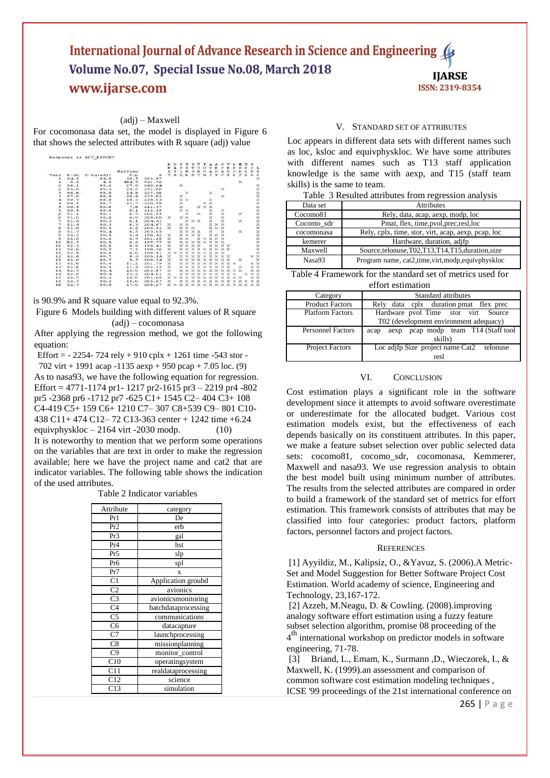# International Journal of Advance Research in Science and Engineering 4 Volume No.07, Special Issue No.08, March 2018 **IJARSE** www.ijarse.com ISSN: 2319-8354

# (adj) – Maxwell

For cocomonasa data set, the model is displayed in Figure 6 that shows the selected attributes with R square (adj) value

|                 |        |             |         |        | R        | Ð                 | с        | т                 | s                 | v                 | т                 | А                 | А                 | P                 | v                 | т.          | M                  | т        | s            |                   |
|-----------------|--------|-------------|---------|--------|----------|-------------------|----------|-------------------|-------------------|-------------------|-------------------|-------------------|-------------------|-------------------|-------------------|-------------|--------------------|----------|--------------|-------------------|
|                 |        |             |         |        | E        |                   |          |                   |                   |                   | ŦТ                | c                 | E                 | c                 | E                 | E.          | o                  | ō        | c            | L.                |
|                 |        |             | Mallows |        | L        | т                 | L        | M                 | n                 | R                 | R                 | А                 | $\times$          | A                 | $\times$          | $\times$    | $\mathbf{D}$       | o        | $\mathbf{F}$ | $^{\circ}$        |
| ars             | $R-Sd$ | $R-Sq(ad1)$ | $C - D$ | s      | v        | A                 | $\times$ | E                 | $\mathbf{R}$      | T                 | M                 | $\mathbf{P}$      | $\mathbf{p}$      | $\mathbf{p}$      | $\mathbf{P}$      | P           | Þ                  | L.       | D            | c                 |
| ı               | 84.2   | 84.0        | 36.5    | 262.97 |          |                   |          |                   |                   |                   |                   |                   |                   |                   |                   |             |                    |          |              | $\times$          |
| ı               | 6.2    | 4.6         | 494.7   | 641.76 |          |                   |          |                   |                   |                   |                   |                   |                   |                   |                   |             | ×                  |          |              |                   |
| $\mathbf{z}$    | 86.1   | 85.6        | 27.9    | 249.64 |          |                   | $\times$ |                   |                   |                   |                   |                   |                   |                   |                   |             |                    |          |              | ×                 |
| $\mathbf{z}$    | 85.8   | 85.3        | 29.2    | 251.66 |          |                   |          |                   |                   |                   |                   |                   |                   | $\times$          |                   |             |                    |          |              | ×                 |
| з               | 88.6   | 88.0        | 14.8    | 227.46 |          |                   |          | $\times$          |                   |                   |                   | $\times$          |                   |                   |                   |             |                    |          |              |                   |
| э               | 87.6   | 86.9        | 20.9    | 237.62 |          |                   | $\times$ |                   |                   |                   |                   |                   |                   | $\times$          |                   |             |                    |          |              | XXXXXXXXXXXX      |
| 4               | 89.7   | 89.0        | 10.3    | 218.03 |          |                   | $\times$ | $\times$          |                   |                   |                   | ×                 |                   |                   |                   |             |                    |          |              |                   |
| 4               | 89.5   | 88.7        | 11.7    | 220.59 |          |                   | ×        |                   |                   |                   | ×                 | $\times$          |                   |                   |                   |             |                    |          |              |                   |
| s               | 90.5   | 89.6        | 7.6     | 211.37 |          |                   | $\times$ |                   |                   |                   | $\times$ $\times$ | $^{\times}$       |                   |                   |                   |             |                    |          |              |                   |
| $\mathbbmss{S}$ | 90.5   | 89.6        | 8.1     | 212.19 |          |                   |          | $\times$ $\times$ |                   |                   |                   | $\times$          |                   | $\times$          |                   |             |                    |          |              |                   |
| 6               | 91.1   | 90.1        | 6.3     | 206.95 |          |                   |          | ×                 |                   | $\times$          |                   | $\times$          |                   | $\times$          |                   |             | $\times$           |          |              |                   |
| 6               | 91.0   | 90.0        | 6.9     | 208.00 | $\times$ |                   |          | $\times$ $\times$ |                   |                   |                   | ×                 |                   | $\times$          |                   |             |                    |          |              |                   |
| 7               | 91.5   | 90.3        | 6.1     | 204.41 |          |                   |          | ×                 |                   | $\times$ $\times$ |                   | $\times$          |                   | $\times$          |                   |             | $\times$           |          |              |                   |
| 7               | 91.4   | 90.3        | 6.3     | 204.87 | ×        |                   | ×        | $\times$          |                   |                   |                   |                   | $\times$ $\times$ | $\times$          |                   |             |                    |          |              |                   |
| 8               | 91.8   | 90.5        | 6.2     | 202.51 | ×        |                   | $\times$ | $\times$          | $\times$          |                   |                   | $\times$          | $\times$          | $\times$          |                   |             |                    |          |              |                   |
| 8               | 91.7   | 90.4        | 6.5     | 203.03 |          |                   | $\times$ | $\times$          | $\times$          | $\times$          |                   | ×                 |                   | ×                 |                   |             | $\times$           |          |              |                   |
| 9               | 92.3   | 90.9        | 5.4     | 198.42 | ×        |                   | $\times$ | $\times$          | $\times$          | $\times$          |                   | $\times$          | $\times$          | $\times$          |                   |             |                    |          |              |                   |
| 9               | 92.0   | 90.6        | 6.7     | 201.28 | ×        |                   | ×        | ×                 |                   | $\times$          | $\times$          | ×                 | ×                 | $\times$          |                   |             |                    |          |              | ××                |
| 10              | 92.5   | 90.9        | 6.2     | 197.77 | ×        |                   | $\times$ | $\times$          | $\mathbf{\times}$ | $\times$          | $\times$          | $\times$          | $\times$          | $\times$          |                   |             |                    |          |              | $\times$          |
| 10              | 92.3   | 90.8        | 6.9     | 199.41 | $\times$ |                   | $\times$ | $^{\times}$       | $\times$          | $\times$          |                   | $\times$          | $\times$          | $\times$          | $\times$          |             |                    |          |              |                   |
| 11              | 92.6   | 90.9        | 7.5     | 198.36 | $\times$ |                   | ×        | $\times$          | $\times$          | $\times$          | $\times$          | $\times$          | $\times$          | $\times$ $\times$ |                   |             |                    |          |              | $\frac{1}{2}$     |
| 11              | 92.5   | 90.8        | 8.0     | 199.51 | $\times$ | $\times$          | $\times$ | $\times$          | $\times$          | $\times$          | $\times$          | $\times$          | $\times$          | $\times$          |                   |             |                    |          |              |                   |
| 12              | 92.6   | 90.7        | 9.4     | 200.14 | ×        |                   | $\times$ | $\times$          | $\times$          | $\times$          | $\times$          | $\times$          | $\times$          | $\times$          | $\times$          |             |                    |          | ×            | xx                |
| 12              | 92.6   | 90.7        | 9.5     | 200.34 | ×        |                   | ×        | $\times$          | $\times$          | $\times$          | ×                 | $\times$          | $\times$          | $\times$          | $\times$          |             | $\times$           |          |              | $\times$          |
| 13              | 92.6   | 90.6        | 11.2    | 201.79 | ×        |                   | $\times$ | $\times$          | $\times$          | $\times$          | $\times$          | $\times$          | $\times$          | $\times$          | $\times$ $\times$ |             |                    |          |              | $\times$ $\times$ |
| 13              | 92.6   | 90.5        | 11.4    | 202.23 | $\times$ |                   | ×        | $\times$          | $\times$          | $\times$          | $\times$          | $\times$          | $\times$          | $\times$          | $\times$          |             | $\times$           |          |              | $\times$ $\times$ |
| 14              | 92.7   | 90.4        | 13.0    | 203.67 | ×        |                   | $\times$ | $\times$          | $\times$          | $\times$          | $\times$          | $\times$          | $\times$          | $\times$          | $\times$ $\times$ |             | $\times$           |          |              | $\times$ $\times$ |
| 14              | 92.6   | 90.4        | 13.2    | 204.01 | ×        |                   | ×        | $^{\times}$       |                   |                   | $\times$          | $\times$          | $\times$          | $\times$          | $\times$          | $^{\times}$ |                    | $\times$ | $\times$     | $\times$          |
| 15              | 92.7   | 90.2        | 15.0    | 205.89 | ×        | $\times$          | $\times$ | $\times$          | $\times$          | $\times$          | $\times$          | $\times$          | $\times$          |                   | <b>x x x</b>      |             | $\times$           |          |              | x x               |
| 1.5             | 92.7   | 90.2        | 15.0    | 205.97 | $\times$ |                   | $\times$ | $\times$          | $\times$          | $\times$          |                   | $\times$ $\times$ | $\times$          | $\times$          | $\times$ $\times$ |             | $\times$           | $\times$ |              | $\times$ $\times$ |
| 16              | 92.7   | 90.0        | 17.0    | 208.27 |          | $\times$ $\times$ |          |                   |                   |                   |                   |                   |                   |                   |                   |             | <b>XXXXXXXXXXX</b> |          | X X X        |                   |

is 90.9% and R square value equal to 92.3%.

Figure 6 Models building with different values of R square (adj) – cocomonasa

After applying the regression method, we got the following equation:

Effort =  $- 2254 - 724$  rely + 910 cplx + 1261 time  $-543$  stor -

702 virt + 1991 acap -1135 aexp + 950 pcap + 7.05 loc. (9) As to nasa93, we have the following equation for regression. Effort = 4771-1174 pr1- 1217 pr2-1615 pr3 – 2219 pr4 -802 pr5 -2368 pr6 -1712 pr7 -625 C1+ 1545 C2– 404 C3+ 108 C4-419 C5+ 159 C6+ 1210 C7– 307 C8+539 C9– 801 C10- 438 C11+ 474 C12– 72 C13-363 center + 1242 time +6.24 equivphyskloc  $-2164$  virt -2030 modp. (10)

It is noteworthy to mention that we perform some operations on the variables that are text in order to make the regression available; here we have the project name and cat2 that are indicator variables. The following table shows the indication of the used attributes.

Table 2 Indicator variables

| Attribute       | category            |
|-----------------|---------------------|
| Pr1             | De                  |
| Pr2             | erb                 |
| Pr3             | gal                 |
| Pr <sub>4</sub> | hst                 |
| Pr <sub>5</sub> | slp                 |
| Pr6             | spl                 |
| Pr7             | X                   |
| C <sub>1</sub>  | Application groubd  |
| C <sub>2</sub>  | avionics            |
| C <sub>3</sub>  | avionicsmonitoring  |
| C <sub>4</sub>  | batchdataprocessing |
| $\overline{C5}$ | communications      |
| C6              | datacapture         |
| C7              | launchprocessing    |
| C8              | missionplanning     |
| C9              | monitor_control     |
| C10             | operatingsystem     |
| C11             | realdataprocessing  |
| C12             | science             |
| C13             | simulation          |

#### V. STANDARD SET OF ATTRIBUTES

Loc appears in different data sets with different names such as loc, ksloc and equivphyskloc. We have some attributes with different names such as T13 staff application knowledge is the same with aexp, and T15 (staff team skills) is the same to team.

|  | Table 3 Resulted attributes from regression analysis |  |  |
|--|------------------------------------------------------|--|--|

| Data set   | <b>Attributes</b>                                    |
|------------|------------------------------------------------------|
| Cocomo81   | Rely, data, acap, aexp, modp, loc                    |
| Cocomo sdr | Pmat, flex, time, pvol, prec, resl, loc              |
| cocomonasa | Rely, cplx, time, stor, virt, acap, aexp, pcap, loc  |
| kemerer    | Hardware, duration, adifp                            |
| Maxwell    | Source, telonuse, T02, T13, T14, T15, duration, size |
| Nasa93     | Program name, cat2, time, virt, modp, equivphyskloc  |

Table 4 Framework for the standard set of metrics used for effort estimation

| Category                 | Standard attributes                            |
|--------------------------|------------------------------------------------|
| <b>Product Factors</b>   | Rely data cplx duration pmat flex prec         |
| <b>Platform Factors</b>  | Hardware pvol Time stor virt Source            |
|                          | T02 (development environment adequacy)         |
| <b>Personnel Factors</b> | pcap modp team T14 (Staff tool<br>aexp<br>acap |
|                          | skills)                                        |
| <b>Project Factors</b>   | Loc adjfp Size project name Cat2 telonuse      |
|                          | resl                                           |

# VI. CONCLUSION

Cost estimation plays a significant role in the software development since it attempts to avoid software overestimate or underestimate for the allocated budget. Various cost estimation models exist, but the effectiveness of each depends basically on its constituent attributes. In this paper, we make a feature subset selection over public selected data sets: cocomo81, cocomo sdr, cocomonasa, Kemmerer, Maxwell and nasa93. We use regression analysis to obtain the best model built using minimum number of attributes. The results from the selected attributes are compared in order to build a framework of the standard set of metrics for effort estimation. This framework consists of attributes that may be classified into four categories: product factors, platform factors, personnel factors and project factors.

#### **REFERENCES**

[1] Ayyildiz, M., Kalipsiz, O., &Yavuz, S. (2006).A Metric-Set and Model Suggestion for Better Software Project Cost Estimation. World academy of science, Engineering and Technology, 23,167-172.

[2] Azzeh, M.Neagu, D. & Cowling. (2008).improving analogy software effort estimation using a fuzzy feature subset selection algorithm, promise 08 proceeding of the 4 th international workshop on predictor models in software engineering, 71-78.

[3] Briand, L., Emam, K., Surmann ,D., Wieczorek, I., & Maxwell, K. (1999).an assessment and comparison of common software cost estimation modeling techniques , ICSE '99 proceedings of the 21st international conference on

265 | P a g e